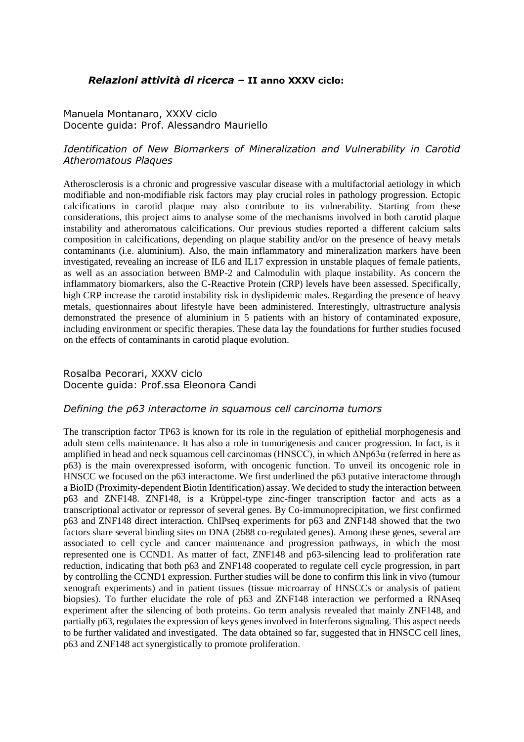## *Relazioni attività di ricerca –* **II anno XXXV ciclo:**

#### Manuela Montanaro, XXXV ciclo Docente guida: Prof. Alessandro Mauriello

# *Identification of New Biomarkers of Mineralization and Vulnerability in Carotid Atheromatous Plaques*

Atherosclerosis is a chronic and progressive vascular disease with a multifactorial aetiology in which modifiable and non-modifiable risk factors may play crucial roles in pathology progression. Ectopic calcifications in carotid plaque may also contribute to its vulnerability. Starting from these considerations, this project aims to analyse some of the mechanisms involved in both carotid plaque instability and atheromatous calcifications. Our previous studies reported a different calcium salts composition in calcifications, depending on plaque stability and/or on the presence of heavy metals contaminants (i.e. aluminium). Also, the main inflammatory and mineralization markers have been investigated, revealing an increase of IL6 and IL17 expression in unstable plaques of female patients, as well as an association between BMP-2 and Calmodulin with plaque instability. As concern the inflammatory biomarkers, also the C-Reactive Protein (CRP) levels have been assessed. Specifically, high CRP increase the carotid instability risk in dyslipidemic males. Regarding the presence of heavy metals, questionnaires about lifestyle have been administered. Interestingly, ultrastructure analysis demonstrated the presence of aluminium in 5 patients with an history of contaminated exposure, including environment or specific therapies. These data lay the foundations for further studies focused on the effects of contaminants in carotid plaque evolution.

#### Rosalba Pecorari, XXXV ciclo Docente guida: Prof.ssa Eleonora Candi

#### *Defining the p63 interactome in squamous cell carcinoma tumors*

The transcription factor TP63 is known for its role in the regulation of epithelial morphogenesis and adult stem cells maintenance. It has also a role in tumorigenesis and cancer progression. In fact, is it amplified in head and neck squamous cell carcinomas (HNSCC), in which ΔNp63α (referred in here as p63) is the main overexpressed isoform, with oncogenic function. To unveil its oncogenic role in HNSCC we focused on the p63 interactome. We first underlined the p63 putative interactome through a BioID (Proximity-dependent Biotin Identification) assay. We decided to study the interaction between p63 and ZNF148. ZNF148, is a Krüppel-type zinc-finger transcription factor and acts as a transcriptional activator or repressor of several genes. By Co-immunoprecipitation, we first confirmed p63 and ZNF148 direct interaction. ChIPseq experiments for p63 and ZNF148 showed that the two factors share several binding sites on DNA (2688 co-regulated genes). Among these genes, several are associated to cell cycle and cancer maintenance and progression pathways, in which the most represented one is CCND1. As matter of fact, ZNF148 and p63-silencing lead to proliferation rate reduction, indicating that both p63 and ZNF148 cooperated to regulate cell cycle progression, in part by controlling the CCND1 expression. Further studies will be done to confirm this link in vivo (tumour xenograft experiments) and in patient tissues (tissue microarray of HNSCCs or analysis of patient biopsies). To further elucidate the role of p63 and ZNF148 interaction we performed a RNAseq experiment after the silencing of both proteins. Go term analysis revealed that mainly ZNF148, and partially p63, regulates the expression of keys genes involved in Interferons signaling. This aspect needs to be further validated and investigated. The data obtained so far, suggested that in HNSCC cell lines, p63 and ZNF148 act synergistically to promote proliferation.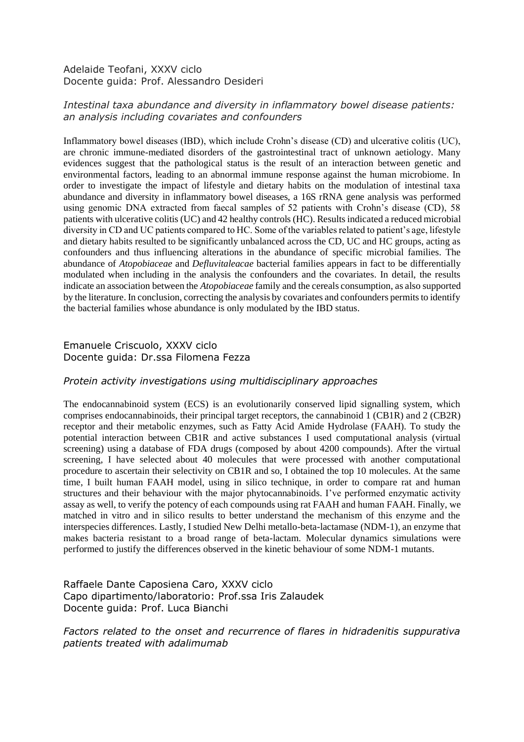#### Adelaide Teofani, XXXV ciclo Docente guida: Prof. Alessandro Desideri

# *Intestinal taxa abundance and diversity in inflammatory bowel disease patients: an analysis including covariates and confounders*

Inflammatory bowel diseases (IBD), which include Crohn's disease (CD) and ulcerative colitis (UC), are chronic immune-mediated disorders of the gastrointestinal tract of unknown aetiology. Many evidences suggest that the pathological status is the result of an interaction between genetic and environmental factors, leading to an abnormal immune response against the human microbiome. In order to investigate the impact of lifestyle and dietary habits on the modulation of intestinal taxa abundance and diversity in inflammatory bowel diseases, a 16S rRNA gene analysis was performed using genomic DNA extracted from faecal samples of 52 patients with Crohn's disease (CD), 58 patients with ulcerative colitis (UC) and 42 healthy controls (HC). Results indicated a reduced microbial diversity in CD and UC patients compared to HC. Some of the variables related to patient's age, lifestyle and dietary habits resulted to be significantly unbalanced across the CD, UC and HC groups, acting as confounders and thus influencing alterations in the abundance of specific microbial families. The abundance of *Atopobiaceae* and *Defluvitaleacae* bacterial families appears in fact to be differentially modulated when including in the analysis the confounders and the covariates. In detail, the results indicate an association between the *Atopobiaceae* family and the cereals consumption, as also supported by the literature. In conclusion, correcting the analysis by covariates and confounders permits to identify the bacterial families whose abundance is only modulated by the IBD status.

# Emanuele Criscuolo, XXXV ciclo Docente guida: Dr.ssa Filomena Fezza

## *Protein activity investigations using multidisciplinary approaches*

The endocannabinoid system (ECS) is an evolutionarily conserved lipid signalling system, which comprises endocannabinoids, their principal target receptors, the cannabinoid 1 (CB1R) and 2 (CB2R) receptor and their metabolic enzymes, such as Fatty Acid Amide Hydrolase (FAAH). To study the potential interaction between CB1R and active substances I used computational analysis (virtual screening) using a database of FDA drugs (composed by about 4200 compounds). After the virtual screening, I have selected about 40 molecules that were processed with another computational procedure to ascertain their selectivity on CB1R and so, I obtained the top 10 molecules. At the same time, I built human FAAH model, using in silico technique, in order to compare rat and human structures and their behaviour with the major phytocannabinoids. I've performed enzymatic activity assay as well, to verify the potency of each compounds using rat FAAH and human FAAH. Finally, we matched in vitro and in silico results to better understand the mechanism of this enzyme and the interspecies differences. Lastly, I studied New Delhi metallo-beta-lactamase (NDM-1), an enzyme that makes bacteria resistant to a broad range of beta-lactam. Molecular dynamics simulations were performed to justify the differences observed in the kinetic behaviour of some NDM-1 mutants.

# Raffaele Dante Caposiena Caro, XXXV ciclo Capo dipartimento/laboratorio: Prof.ssa Iris Zalaudek Docente guida: Prof. Luca Bianchi

*Factors related to the onset and recurrence of flares in hidradenitis suppurativa patients treated with adalimumab*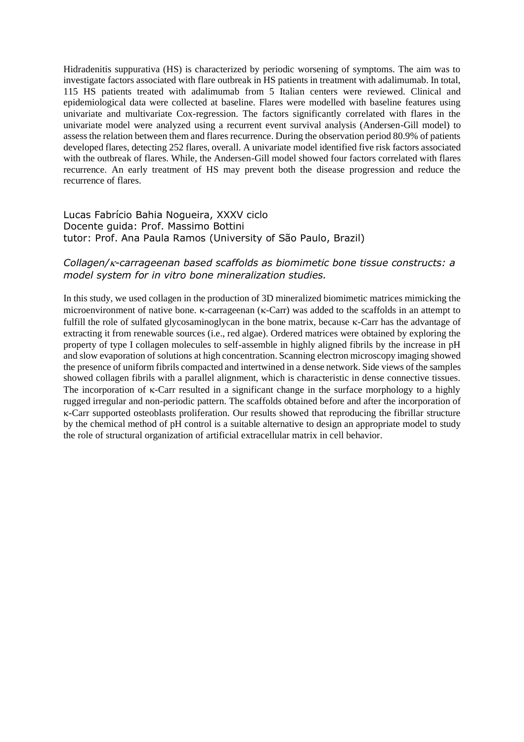Hidradenitis suppurativa (HS) is characterized by periodic worsening of symptoms. The aim was to investigate factors associated with flare outbreak in HS patients in treatment with adalimumab. In total, 115 HS patients treated with adalimumab from 5 Italian centers were reviewed. Clinical and epidemiological data were collected at baseline. Flares were modelled with baseline features using univariate and multivariate Cox-regression. The factors significantly correlated with flares in the univariate model were analyzed using a recurrent event survival analysis (Andersen-Gill model) to assess the relation between them and flares recurrence. During the observation period 80.9% of patients developed flares, detecting 252 flares, overall. A univariate model identified five risk factors associated with the outbreak of flares. While, the Andersen-Gill model showed four factors correlated with flares recurrence. An early treatment of HS may prevent both the disease progression and reduce the recurrence of flares.

## Lucas Fabrício Bahia Nogueira, XXXV ciclo Docente guida: Prof. Massimo Bottini tutor: Prof. Ana Paula Ramos (University of São Paulo, Brazil)

## *Collagen/-carrageenan based scaffolds as biomimetic bone tissue constructs: a model system for in vitro bone mineralization studies.*

In this study, we used collagen in the production of 3D mineralized biomimetic matrices mimicking the microenvironment of native bone.  $\kappa$ -carrageenan ( $\kappa$ -Carr) was added to the scaffolds in an attempt to fulfill the role of sulfated glycosaminoglycan in the bone matrix, because  $\kappa$ -Carr has the advantage of extracting it from renewable sources (i.e., red algae). Ordered matrices were obtained by exploring the property of type I collagen molecules to self-assemble in highly aligned fibrils by the increase in pH and slow evaporation of solutions at high concentration. Scanning electron microscopy imaging showed the presence of uniform fibrils compacted and intertwined in a dense network. Side views of the samples showed collagen fibrils with a parallel alignment, which is characteristic in dense connective tissues. The incorporation of  $\kappa$ -Carr resulted in a significant change in the surface morphology to a highly rugged irregular and non-periodic pattern. The scaffolds obtained before and after the incorporation of -Carr supported osteoblasts proliferation. Our results showed that reproducing the fibrillar structure by the chemical method of pH control is a suitable alternative to design an appropriate model to study the role of structural organization of artificial extracellular matrix in cell behavior.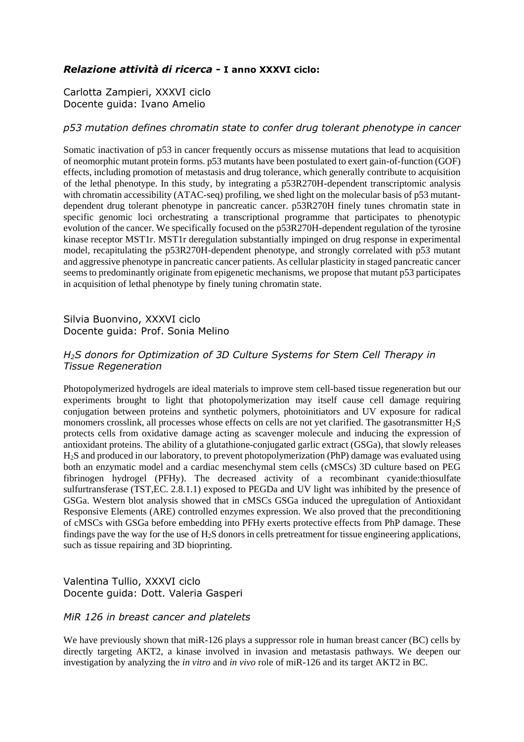# *Relazione attività di ricerca -* **I anno XXXVI ciclo:**

Carlotta Zampieri, XXXVI ciclo Docente guida: Ivano Amelio

#### *p53 mutation defines chromatin state to confer drug tolerant phenotype in cancer*

Somatic inactivation of p53 in cancer frequently occurs as missense mutations that lead to acquisition of neomorphic mutant protein forms. p53 mutants have been postulated to exert gain-of-function (GOF) effects, including promotion of metastasis and drug tolerance, which generally contribute to acquisition of the lethal phenotype. In this study, by integrating a p53R270H-dependent transcriptomic analysis with chromatin accessibility (ATAC-seq) profiling, we shed light on the molecular basis of p53 mutantdependent drug tolerant phenotype in pancreatic cancer. p53R270H finely tunes chromatin state in specific genomic loci orchestrating a transcriptional programme that participates to phenotypic evolution of the cancer. We specifically focused on the p53R270H-dependent regulation of the tyrosine kinase receptor MST1r. MST1r deregulation substantially impinged on drug response in experimental model, recapitulating the p53R270H-dependent phenotype, and strongly correlated with p53 mutant and aggressive phenotype in pancreatic cancer patients. As cellular plasticity in staged pancreatic cancer seems to predominantly originate from epigenetic mechanisms, we propose that mutant p53 participates in acquisition of lethal phenotype by finely tuning chromatin state.

## Silvia Buonvino, XXXVI ciclo Docente guida: Prof. Sonia Melino

# *H2S donors for Optimization of 3D Culture Systems for Stem Cell Therapy in Tissue Regeneration*

Photopolymerized hydrogels are ideal materials to improve stem cell-based tissue regeneration but our experiments brought to light that photopolymerization may itself cause cell damage requiring conjugation between proteins and synthetic polymers, photoinitiators and UV exposure for radical monomers crosslink, all processes whose effects on cells are not yet clarified. The gasotransmitter  $H_2S$ protects cells from oxidative damage acting as scavenger molecule and inducing the expression of antioxidant proteins. The ability of a glutathione-conjugated garlic extract (GSGa), that slowly releases H2S and produced in our laboratory, to prevent photopolymerization (PhP) damage was evaluated using both an enzymatic model and a cardiac mesenchymal stem cells (cMSCs) 3D culture based on PEG fibrinogen hydrogel (PFHy). The decreased activity of a recombinant cyanide:thiosulfate sulfurtransferase (TST,EC. 2.8.1.1) exposed to PEGDa and UV light was inhibited by the presence of GSGa. Western blot analysis showed that in cMSCs GSGa induced the upregulation of Antioxidant Responsive Elements (ARE) controlled enzymes expression. We also proved that the preconditioning of cMSCs with GSGa before embedding into PFHy exerts protective effects from PhP damage. These findings pave the way for the use of  $H_2S$  donors in cells pretreatment for tissue engineering applications, such as tissue repairing and 3D bioprinting.

## Valentina Tullio, XXXVI ciclo Docente guida: Dott. Valeria Gasperi

#### *MiR 126 in breast cancer and platelets*

We have previously shown that miR-126 plays a suppressor role in human breast cancer (BC) cells by directly targeting AKT2, a kinase involved in invasion and metastasis pathways. We deepen our investigation by analyzing the *in vitro* and *in vivo* role of miR-126 and its target AKT2 in BC.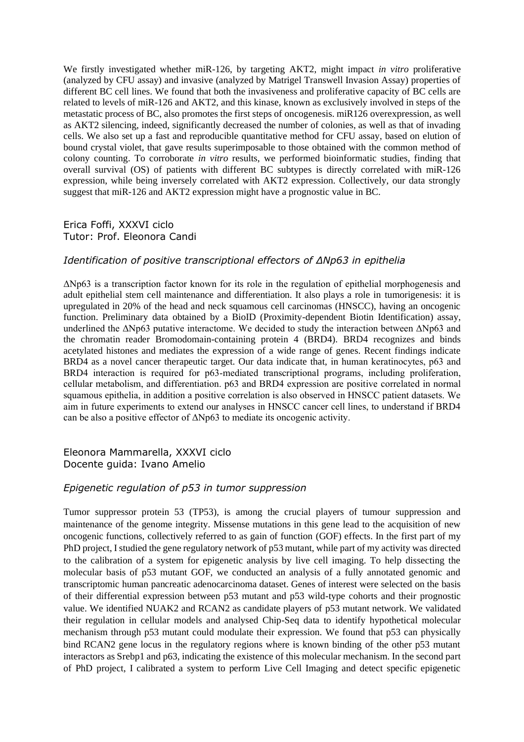We firstly investigated whether miR-126, by targeting AKT2, might impact *in vitro* proliferative (analyzed by CFU assay) and invasive (analyzed by Matrigel Transwell Invasion Assay) properties of different BC cell lines. We found that both the invasiveness and proliferative capacity of BC cells are related to levels of miR-126 and AKT2, and this kinase, known as exclusively involved in steps of the metastatic process of BC, also promotes the first steps of oncogenesis. miR126 overexpression, as well as AKT2 silencing, indeed, significantly decreased the number of colonies, as well as that of invading cells. We also set up a fast and reproducible quantitative method for CFU assay, based on elution of bound crystal violet, that gave results superimposable to those obtained with the common method of colony counting. To corroborate *in vitro* results, we performed bioinformatic studies, finding that overall survival (OS) of patients with different BC subtypes is directly correlated with miR-126 expression, while being inversely correlated with AKT2 expression. Collectively, our data strongly suggest that miR-126 and AKT2 expression might have a prognostic value in BC.

#### Erica Foffi, XXXVI ciclo Tutor: Prof. Eleonora Candi

#### *Identification of positive transcriptional effectors of ΔNp63 in epithelia*

ΔNp63 is a transcription factor known for its role in the regulation of epithelial morphogenesis and adult epithelial stem cell maintenance and differentiation. It also plays a role in tumorigenesis: it is upregulated in 20% of the head and neck squamous cell carcinomas (HNSCC), having an oncogenic function. Preliminary data obtained by a BioID (Proximity-dependent Biotin Identification) assay, underlined the ΔNp63 putative interactome. We decided to study the interaction between ΔNp63 and the chromatin reader Bromodomain-containing protein 4 (BRD4). BRD4 recognizes and binds acetylated histones and mediates the expression of a wide range of genes. Recent findings indicate BRD4 as a novel cancer therapeutic target. Our data indicate that, in human keratinocytes, p63 and BRD4 interaction is required for p63-mediated transcriptional programs, including proliferation, cellular metabolism, and differentiation. p63 and BRD4 expression are positive correlated in normal squamous epithelia, in addition a positive correlation is also observed in HNSCC patient datasets. We aim in future experiments to extend our analyses in HNSCC cancer cell lines, to understand if BRD4 can be also a positive effector of ΔNp63 to mediate its oncogenic activity.

#### Eleonora Mammarella, XXXVI ciclo Docente guida: Ivano Amelio

# *Epigenetic regulation of p53 in tumor suppression*

Tumor suppressor protein 53 (TP53), is among the crucial players of tumour suppression and maintenance of the genome integrity. Missense mutations in this gene lead to the acquisition of new oncogenic functions, collectively referred to as gain of function (GOF) effects. In the first part of my PhD project, I studied the gene regulatory network of p53 mutant, while part of my activity was directed to the calibration of a system for epigenetic analysis by live cell imaging. To help dissecting the molecular basis of p53 mutant GOF, we conducted an analysis of a fully annotated genomic and transcriptomic human pancreatic adenocarcinoma dataset. Genes of interest were selected on the basis of their differential expression between p53 mutant and p53 wild-type cohorts and their prognostic value. We identified NUAK2 and RCAN2 as candidate players of p53 mutant network. We validated their regulation in cellular models and analysed Chip-Seq data to identify hypothetical molecular mechanism through p53 mutant could modulate their expression. We found that p53 can physically bind RCAN2 gene locus in the regulatory regions where is known binding of the other p53 mutant interactors as Srebp1 and p63, indicating the existence of this molecular mechanism. In the second part of PhD project, I calibrated a system to perform Live Cell Imaging and detect specific epigenetic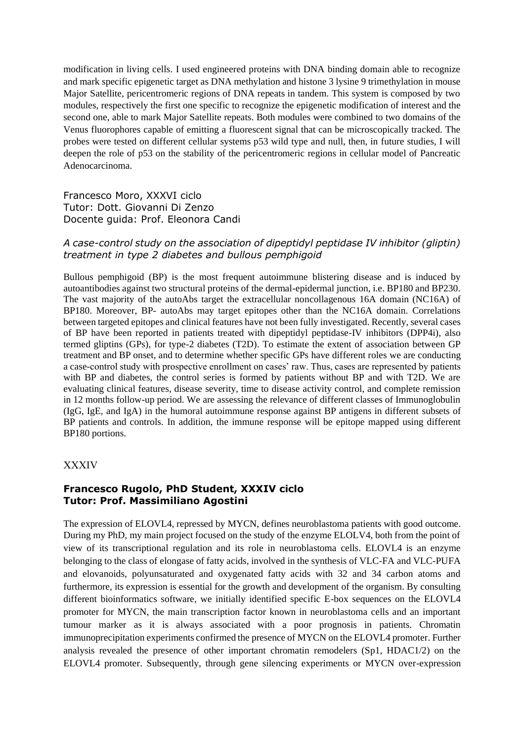modification in living cells. I used engineered proteins with DNA binding domain able to recognize and mark specific epigenetic target as DNA methylation and histone 3 lysine 9 trimethylation in mouse Major Satellite, pericentromeric regions of DNA repeats in tandem. This system is composed by two modules, respectively the first one specific to recognize the epigenetic modification of interest and the second one, able to mark Major Satellite repeats. Both modules were combined to two domains of the Venus fluorophores capable of emitting a fluorescent signal that can be microscopically tracked. The probes were tested on different cellular systems p53 wild type and null, then, in future studies, I will deepen the role of p53 on the stability of the pericentromeric regions in cellular model of Pancreatic Adenocarcinoma.

Francesco Moro, XXXVI ciclo Tutor: Dott. Giovanni Di Zenzo Docente guida: Prof. Eleonora Candi

## *A case-control study on the association of dipeptidyl peptidase IV inhibitor (gliptin) treatment in type 2 diabetes and bullous pemphigoid*

Bullous pemphigoid (BP) is the most frequent autoimmune blistering disease and is induced by autoantibodies against two structural proteins of the dermal-epidermal junction, i.e. BP180 and BP230. The vast majority of the autoAbs target the extracellular noncollagenous 16A domain (NC16A) of BP180. Moreover, BP- autoAbs may target epitopes other than the NC16A domain. Correlations between targeted epitopes and clinical features have not been fully investigated. Recently, several cases of BP have been reported in patients treated with dipeptidyl peptidase-IV inhibitors (DPP4i), also termed gliptins (GPs), for type-2 diabetes (T2D). To estimate the extent of association between GP treatment and BP onset, and to determine whether specific GPs have different roles we are conducting a case-control study with prospective enrollment on cases' raw. Thus, cases are represented by patients with BP and diabetes, the control series is formed by patients without BP and with T2D. We are evaluating clinical features, disease severity, time to disease activity control, and complete remission in 12 months follow-up period. We are assessing the relevance of different classes of Immunoglobulin (IgG, IgE, and IgA) in the humoral autoimmune response against BP antigens in different subsets of BP patients and controls. In addition, the immune response will be epitope mapped using different BP180 portions.

#### XXXIV

## **Francesco Rugolo, PhD Student, XXXIV ciclo Tutor: Prof. Massimiliano Agostini**

The expression of ELOVL4, repressed by MYCN, defines neuroblastoma patients with good outcome. During my PhD, my main project focused on the study of the enzyme ELOLV4, both from the point of view of its transcriptional regulation and its role in neuroblastoma cells. ELOVL4 is an enzyme belonging to the class of elongase of fatty acids, involved in the synthesis of VLC-FA and VLC-PUFA and elovanoids, polyunsaturated and oxygenated fatty acids with 32 and 34 carbon atoms and furthermore, its expression is essential for the growth and development of the organism. By consulting different bioinformatics software, we initially identified specific E-box sequences on the ELOVL4 promoter for MYCN, the main transcription factor known in neuroblastoma cells and an important tumour marker as it is always associated with a poor prognosis in patients. Chromatin immunoprecipitation experiments confirmed the presence of MYCN on the ELOVL4 promoter. Further analysis revealed the presence of other important chromatin remodelers (Sp1, HDAC1/2) on the ELOVL4 promoter. Subsequently, through gene silencing experiments or MYCN over-expression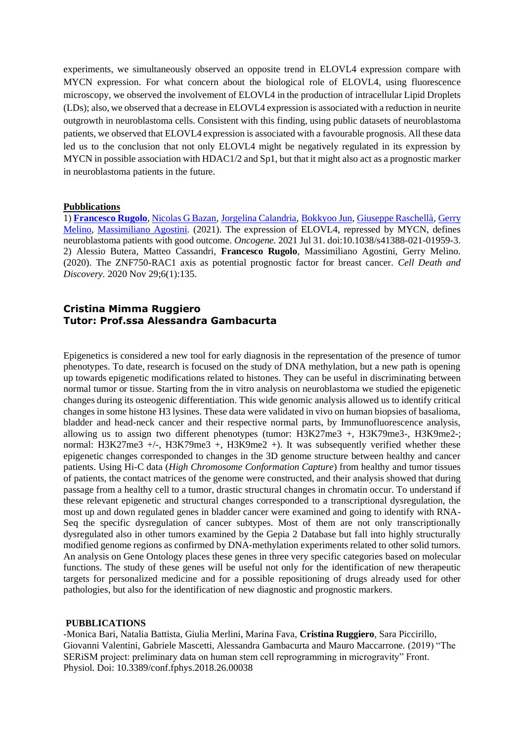experiments, we simultaneously observed an opposite trend in ELOVL4 expression compare with MYCN expression. For what concern about the biological role of ELOVL4, using fluorescence microscopy, we observed the involvement of ELOVL4 in the production of intracellular Lipid Droplets (LDs); also, we observed that a decrease in ELOVL4 expression is associated with a reduction in neurite outgrowth in neuroblastoma cells. Consistent with this finding, using public datasets of neuroblastoma patients, we observed that ELOVL4 expression is associated with a favourable prognosis. All these data led us to the conclusion that not only ELOVL4 might be negatively regulated in its expression by MYCN in possible association with HDAC1/2 and Sp1, but that it might also act as a prognostic marker in neuroblastoma patients in the future.

#### **Pubblications**

1) **[Francesco Rugolo](https://pubmed.ncbi.nlm.nih.gov/?term=Rugolo+F&cauthor_id=34333551)**[, Nicolas G Bazan,](https://pubmed.ncbi.nlm.nih.gov/?term=Bazan+NG&cauthor_id=34333551) [Jorgelina Calandria,](https://pubmed.ncbi.nlm.nih.gov/?term=Calandria+J&cauthor_id=34333551) [Bokkyoo Jun,](https://pubmed.ncbi.nlm.nih.gov/?term=Jun+B&cauthor_id=34333551) [Giuseppe Raschellà,](https://pubmed.ncbi.nlm.nih.gov/?term=Raschell%C3%A0+G&cauthor_id=34333551) [Gerry](https://pubmed.ncbi.nlm.nih.gov/?term=Melino+G&cauthor_id=34333551)  [Melino,](https://pubmed.ncbi.nlm.nih.gov/?term=Melino+G&cauthor_id=34333551) [Massimiliano Agostini.](https://pubmed.ncbi.nlm.nih.gov/?term=Agostini+M&cauthor_id=34333551) (2021). The expression of ELOVL4, repressed by MYCN, defines neuroblastoma patients with good outcome. *Oncogene.* 2021 Jul 31. doi:10.1038/s41388-021-01959-3. 2) Alessio Butera, Matteo Cassandri, **Francesco Rugolo**, Massimiliano Agostini, Gerry Melino. (2020). The ZNF750-RAC1 axis as potential prognostic factor for breast cancer. *Cell Death and Discovery.* 2020 Nov 29;6(1):135.

### **Cristina Mimma Ruggiero Tutor: Prof.ssa Alessandra Gambacurta**

Epigenetics is considered a new tool for early diagnosis in the representation of the presence of tumor phenotypes. To date, research is focused on the study of DNA methylation, but a new path is opening up towards epigenetic modifications related to histones. They can be useful in discriminating between normal tumor or tissue. Starting from the in vitro analysis on neuroblastoma we studied the epigenetic changes during its osteogenic differentiation. This wide genomic analysis allowed us to identify critical changes in some histone H3 lysines. These data were validated in vivo on human biopsies of basalioma, bladder and head-neck cancer and their respective normal parts, by Immunofluorescence analysis, allowing us to assign two different phenotypes (tumor: H3K27me3 +, H3K79me3-, H3K9me2-; normal: H3K27me3 +/-, H3K79me3 +, H3K9me2 +). It was subsequently verified whether these epigenetic changes corresponded to changes in the 3D genome structure between healthy and cancer patients. Using Hi-C data (*High Chromosome Conformation Capture*) from healthy and tumor tissues of patients, the contact matrices of the genome were constructed, and their analysis showed that during passage from a healthy cell to a tumor, drastic structural changes in chromatin occur. To understand if these relevant epigenetic and structural changes corresponded to a transcriptional dysregulation, the most up and down regulated genes in bladder cancer were examined and going to identify with RNA-Seq the specific dysregulation of cancer subtypes. Most of them are not only transcriptionally dysregulated also in other tumors examined by the Gepia 2 Database but fall into highly structurally modified genome regions as confirmed by DNA-methylation experiments related to other solid tumors. An analysis on Gene Ontology places these genes in three very specific categories based on molecular functions. The study of these genes will be useful not only for the identification of new therapeutic targets for personalized medicine and for a possible repositioning of drugs already used for other pathologies, but also for the identification of new diagnostic and prognostic markers.

#### **PUBBLICATIONS**

-Monica Bari, Natalia Battista, Giulia Merlini, Marina Fava, **Cristina Ruggiero**, Sara Piccirillo, Giovanni Valentini, Gabriele Mascetti, Alessandra Gambacurta and Mauro Maccarrone. (2019) "The SERiSM project: preliminary data on human stem cell reprogramming in microgravity" Front. Physiol. Doi: 10.3389/conf.fphys.2018.26.00038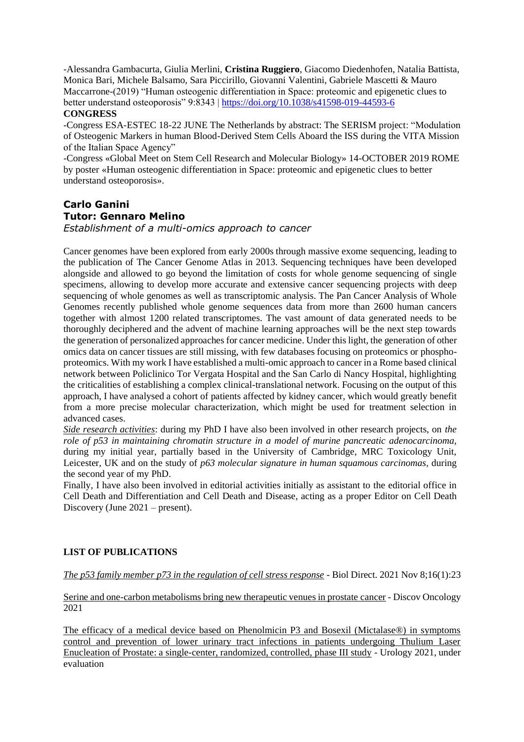-Alessandra Gambacurta, Giulia Merlini, **Cristina Ruggiero**, Giacomo Diedenhofen, Natalia Battista, Monica Bari, Michele Balsamo, Sara Piccirillo, Giovanni Valentini, Gabriele Mascetti & Mauro Maccarrone-(2019) "Human osteogenic differentiation in Space: proteomic and epigenetic clues to better understand osteoporosis" 9:8343 [| https://doi.org/10.1038/s41598-019-44593-6](https://doi.org/10.1038/s41598-019-44593-6) **CONGRESS**

-Congress ESA-ESTEC 18-22 JUNE The Netherlands by abstract: The SERISM project: "Modulation of Osteogenic Markers in human Blood-Derived Stem Cells Aboard the ISS during the VITA Mission of the Italian Space Agency"

-Congress «Global Meet on Stem Cell Research and Molecular Biology» 14-OCTOBER 2019 ROME by poster «Human osteogenic differentiation in Space: proteomic and epigenetic clues to better understand osteoporosis».

# **Carlo Ganini Tutor: Gennaro Melino**

*Establishment of a multi-omics approach to cancer*

Cancer genomes have been explored from early 2000s through massive exome sequencing, leading to the publication of The Cancer Genome Atlas in 2013. Sequencing techniques have been developed alongside and allowed to go beyond the limitation of costs for whole genome sequencing of single specimens, allowing to develop more accurate and extensive cancer sequencing projects with deep sequencing of whole genomes as well as transcriptomic analysis. The Pan Cancer Analysis of Whole Genomes recently published whole genome sequences data from more than 2600 human cancers together with almost 1200 related transcriptomes. The vast amount of data generated needs to be thoroughly deciphered and the advent of machine learning approaches will be the next step towards the generation of personalized approaches for cancer medicine. Under this light, the generation of other omics data on cancer tissues are still missing, with few databases focusing on proteomics or phosphoproteomics. With my work I have established a multi-omic approach to cancer in a Rome based clinical network between Policlinico Tor Vergata Hospital and the San Carlo di Nancy Hospital, highlighting the criticalities of establishing a complex clinical-translational network. Focusing on the output of this approach, I have analysed a cohort of patients affected by kidney cancer, which would greatly benefit from a more precise molecular characterization, which might be used for treatment selection in advanced cases.

*Side research activities*: during my PhD I have also been involved in other research projects, on *the role of p53 in maintaining chromatin structure in a model of murine pancreatic adenocarcinoma,*  during my initial year, partially based in the University of Cambridge, MRC Toxicology Unit, Leicester, UK and on the study of *p63 molecular signature in human squamous carcinomas,* during the second year of my PhD.

Finally, I have also been involved in editorial activities initially as assistant to the editorial office in Cell Death and Differentiation and Cell Death and Disease, acting as a proper Editor on Cell Death Discovery (June 2021 – present).

## **LIST OF PUBLICATIONS**

*The p53 family member p73 in the regulation of cell stress response* - Biol Direct. 2021 Nov 8;16(1):23

Serine and one-carbon metabolisms bring new therapeutic venues in prostate cancer - Discov Oncology 2021

The efficacy of a medical device based on Phenolmicin P3 and Bosexil (Mictalase®) in symptoms control and prevention of lower urinary tract infections in patients undergoing Thulium Laser Enucleation of Prostate: a single-center, randomized, controlled, phase III study - Urology 2021, under evaluation